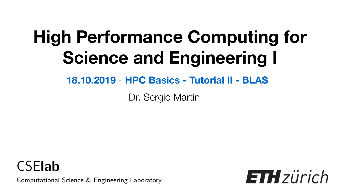# **High Performance Computing for Science and Engineering I**

#### **18.10.2019** - **HPC Basics - Tutorial II - BLAS**

Dr. Sergio Martin



Computational Science & Engineering Laboratory

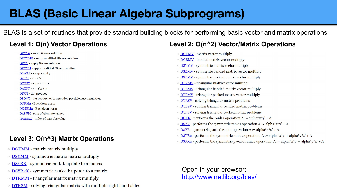#### **BLAS (Basic Linear Algebra Subprograms)**

BLAS is a set of routines that provide standard building blocks for performing basic vector and matrix operations

- **DROTG** setup Givens rotation
- DROTMG setup modified Givens rotation
- DROT apply Givens rotation
- **DROTM** apply modified Givens rotation
- DSWAP swap x and y
- $DSCAL x = a*x$
- $DCOPY$  copy x into y
- $DAXPY y = a*x + y$
- DDOT dot product
- **DSDOT** dot product with extended precision accumulation
- DNRM2 Euclidean norm
- DZNRM2 Euclidean norm
- DASUM sum of absolute values
- IDAMAX index of max abs value

#### **Level 3: O(n^3) Matrix Operations**

- **DGEMM** matrix matrix multiply
- **DSYMM** symmetric matrix matrix multiply
- **DSYRK** symmetric rank-k update to a matrix
- DSYR2K symmetric rank-2k update to a matrix
- **DTRMM** triangular matrix matrix multiply
- **DTRSM** solving triangular matrix with multiple right hand sides

#### **Level 1: O(n) Vector Operations Level 2: O(n^2) Vector/Matrix Operations**

- **DGEMV** matrix vector multiply
- **DGBMV** banded matrix vector multiply
- **DSYMV** symmetric matrix vector multiply
- **DSBMV** symmetric banded matrix vector multiply
- **DSPMV** symmetric packed matrix vector multiply
- **DTRMV** triangular matrix vector multiply
- **DIBMV** triangular banded matrix vector multiply
- DTPMV triangular packed matrix vector multiply
- **DTRSV** solving triangular matrix problems
- **DTBSV** solving triangular banded matrix problems
- **DTPSV** solving triangular packed matrix problems
- $\circ$  DGER performs the rank 1 operation A := alpha\*x\*y' + A
- DSYR performs the symmetric rank 1 operation A := alpha\*x\*x' + A
- **DSPR** symmetric packed rank 1 operation A := alpha\*x\*x' + A
- DSYR2 performs the symmetric rank 2 operation, A := alpha\*x\*y' + alpha\*y\*x' + A
- **DSPR2** performs the symmetric packed rank 2 operation, A := alpha\*x\*y' + alpha\*y\*x' + A

#### Open in your browser: <http://www.netlib.org/blas/>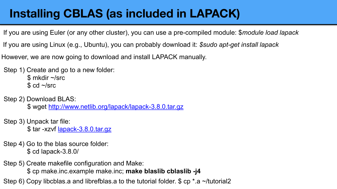#### **Installing CBLAS (as included in LAPACK)**

If you are using Euler (or any other cluster), you can use a pre-compiled module: \$*module load lapack*

If you are using Linux (e.g., Ubuntu), you can probably download it: *\$sudo apt-get install lapack*

However, we are now going to download and install LAPACK manually.

Step 1) Create and go to a new folder: \$ mkdir ~/src  $$$  cd  $\sim$ /src

Step 2) Download BLAS:

\$ wget<http://www.netlib.org/lapack/lapack-3.8.0.tar.gz>

Step 3) Unpack tar file: \$ tar -xzvf <u>lapack-3.8.0.tar.qz</u>

Step 4) Go to the blas source folder: \$ cd lapack-3.8.0/

Step 5) Create makefile configuration and Make:

\$ cp make.inc.example make.inc; **make blaslib cblaslib -j4**

Step 6) Copy libcblas.a and librefblas.a to the tutorial folder. \$ cp \*.a ~/tutorial2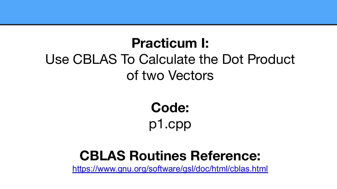#### **Practicum I:**  Use CBLAS To Calculate the Dot Product of two Vectors

**Code:**  p1.cpp

#### **CBLAS Routines Reference:**

<https://www.gnu.org/software/gsl/doc/html/cblas.html>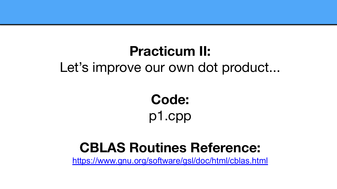### **Practicum II:**

#### Let's improve our own dot product...

**Code:**  p1.cpp

#### **CBLAS Routines Reference:**

<https://www.gnu.org/software/gsl/doc/html/cblas.html>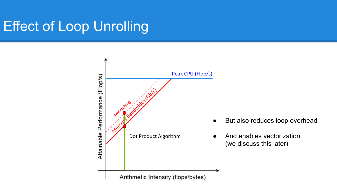### Effect of Loop Unrolling



- But also reduces loop overhead
- And enables vectorization (we discuss this later)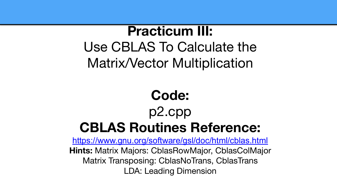#### **Practicum III:**

Use CBLAS To Calculate the Matrix/Vector Multiplication

# **Code:**  p2.cpp **CBLAS Routines Reference:**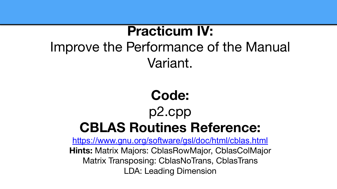### **Practicum IV:**  Improve the Performance of the Manual Variant.

# **Code:**  p2.cpp **CBLAS Routines Reference:**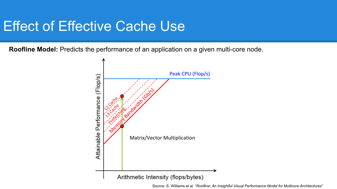#### Effect of Effective Cache Use

**Roofline Model:** Predicts the performance of an application on a given multi-core node.



Source: S. Williams et al. "*Roofline: An Insightful Visual Performance Model for Multicore Architectures*"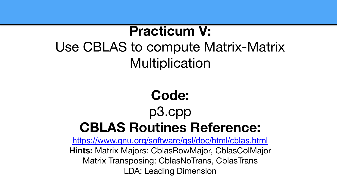### **Practicum V:**  Use CBLAS to compute Matrix-Matrix **Multiplication**

# **Code:**  p3.cpp **CBLAS Routines Reference:**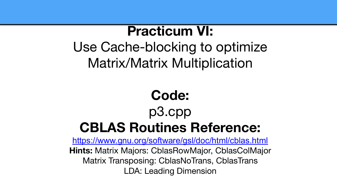#### **Practicum VI:**

Use Cache-blocking to optimize Matrix/Matrix Multiplication

# **Code:**  p3.cpp **CBLAS Routines Reference:**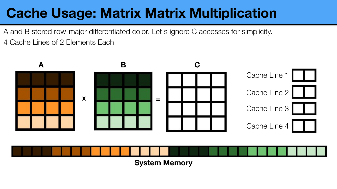## **Cache Usage: Matrix Matrix Multiplication**

4 Cache Lines of 2 Elements Each A and B stored row-major differentiated color. Let's ignore C accesses for simplicity.

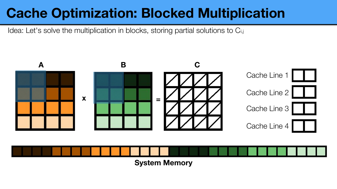### **Cache Optimization: Blocked Multiplication**

Idea: Let's solve the multiplication in blocks, storing partial solutions to C<sub>i,j</sub>

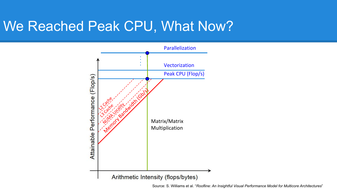#### We Reached Peak CPU, What Now?



Source: S. Williams et al. "*Roofline: An Insightful Visual Performance Model for Multicore Architectures*"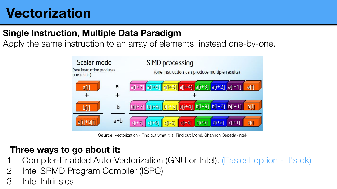#### **Vectorization**

#### **Single Instruction, Multiple Data Paradigm**

Apply the same instruction to an array of elements, instead one-by-one.



**Source:** Vectorization - Find out what it is, Find out More!, Shannon Cepeda (Intel)

#### **Three ways to go about it:**

- 1. Compiler-Enabled Auto-Vectorization (GNU or Intel). (Easiest option It's ok)
- 2. Intel SPMD Program Compiler (ISPC)
- 3. Intel Intrinsics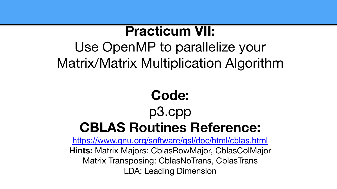#### **Practicum VII:**

### Use OpenMP to parallelize your Matrix/Matrix Multiplication Algorithm

# **Code:**  p3.cpp **CBLAS Routines Reference:**